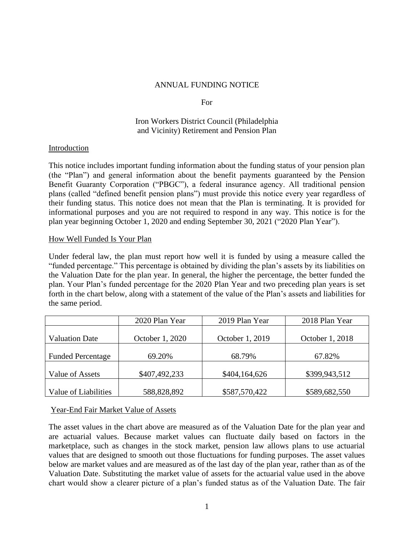#### ANNUAL FUNDING NOTICE

#### For

## Iron Workers District Council (Philadelphia and Vicinity) Retirement and Pension Plan

### **Introduction**

This notice includes important funding information about the funding status of your pension plan (the "Plan") and general information about the benefit payments guaranteed by the Pension Benefit Guaranty Corporation ("PBGC"), a federal insurance agency. All traditional pension plans (called "defined benefit pension plans") must provide this notice every year regardless of their funding status. This notice does not mean that the Plan is terminating. It is provided for informational purposes and you are not required to respond in any way. This notice is for the plan year beginning October 1, 2020 and ending September 30, 2021 ("2020 Plan Year").

### How Well Funded Is Your Plan

Under federal law, the plan must report how well it is funded by using a measure called the "funded percentage." This percentage is obtained by dividing the plan's assets by its liabilities on the Valuation Date for the plan year. In general, the higher the percentage, the better funded the plan. Your Plan's funded percentage for the 2020 Plan Year and two preceding plan years is set forth in the chart below, along with a statement of the value of the Plan's assets and liabilities for the same period.

|                          | 2020 Plan Year  | 2019 Plan Year  | 2018 Plan Year  |
|--------------------------|-----------------|-----------------|-----------------|
|                          |                 |                 |                 |
| <b>Valuation Date</b>    | October 1, 2020 | October 1, 2019 | October 1, 2018 |
|                          |                 |                 |                 |
| <b>Funded Percentage</b> | 69.20%          | 68.79%          | 67.82%          |
|                          |                 |                 |                 |
| <b>Value of Assets</b>   | \$407,492,233   | \$404,164,626   | \$399,943,512   |
|                          |                 |                 |                 |
| Value of Liabilities     | 588,828,892     | \$587,570,422   | \$589,682,550   |

## Year-End Fair Market Value of Assets

The asset values in the chart above are measured as of the Valuation Date for the plan year and are actuarial values. Because market values can fluctuate daily based on factors in the marketplace, such as changes in the stock market, pension law allows plans to use actuarial values that are designed to smooth out those fluctuations for funding purposes. The asset values below are market values and are measured as of the last day of the plan year, rather than as of the Valuation Date. Substituting the market value of assets for the actuarial value used in the above chart would show a clearer picture of a plan's funded status as of the Valuation Date. The fair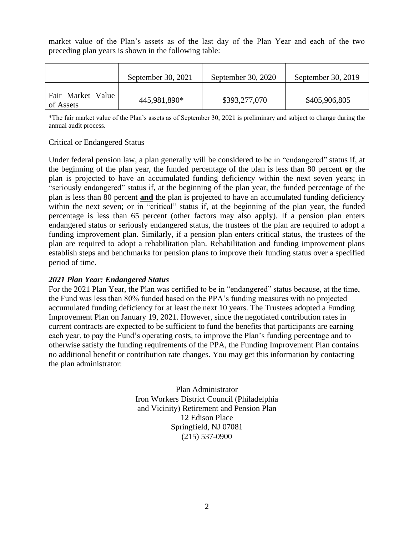market value of the Plan's assets as of the last day of the Plan Year and each of the two preceding plan years is shown in the following table:

|                                | September 30, 2021 | September 30, 2020 | September 30, 2019 |
|--------------------------------|--------------------|--------------------|--------------------|
| Fair Market Value<br>of Assets | 445,981,890*       | \$393,277,070      | \$405,906,805      |

\*The fair market value of the Plan's assets as of September 30, 2021 is preliminary and subject to change during the annual audit process.

## Critical or Endangered Status

Under federal pension law, a plan generally will be considered to be in "endangered" status if, at the beginning of the plan year, the funded percentage of the plan is less than 80 percent **or** the plan is projected to have an accumulated funding deficiency within the next seven years; in "seriously endangered" status if, at the beginning of the plan year, the funded percentage of the plan is less than 80 percent **and** the plan is projected to have an accumulated funding deficiency within the next seven; or in "critical" status if, at the beginning of the plan year, the funded percentage is less than 65 percent (other factors may also apply). If a pension plan enters endangered status or seriously endangered status, the trustees of the plan are required to adopt a funding improvement plan. Similarly, if a pension plan enters critical status, the trustees of the plan are required to adopt a rehabilitation plan. Rehabilitation and funding improvement plans establish steps and benchmarks for pension plans to improve their funding status over a specified period of time.

# *2021 Plan Year: Endangered Status*

For the 2021 Plan Year, the Plan was certified to be in "endangered" status because, at the time, the Fund was less than 80% funded based on the PPA's funding measures with no projected accumulated funding deficiency for at least the next 10 years. The Trustees adopted a Funding Improvement Plan on January 19, 2021. However, since the negotiated contribution rates in current contracts are expected to be sufficient to fund the benefits that participants are earning each year, to pay the Fund's operating costs, to improve the Plan's funding percentage and to otherwise satisfy the funding requirements of the PPA, the Funding Improvement Plan contains no additional benefit or contribution rate changes. You may get this information by contacting the plan administrator:

> Plan Administrator Iron Workers District Council (Philadelphia and Vicinity) Retirement and Pension Plan 12 Edison Place Springfield, NJ 07081 (215) 537-0900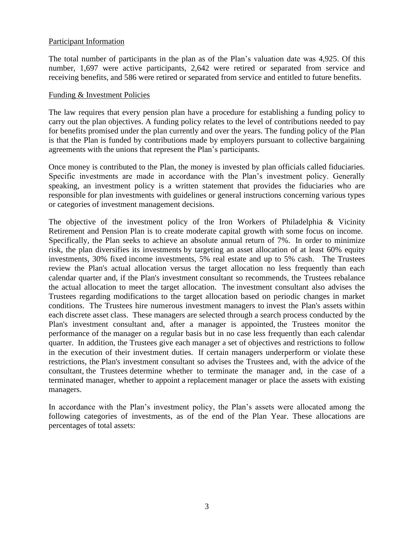## Participant Information

The total number of participants in the plan as of the Plan's valuation date was 4,925. Of this number, 1,697 were active participants, 2,642 were retired or separated from service and receiving benefits, and 586 were retired or separated from service and entitled to future benefits.

### Funding & Investment Policies

The law requires that every pension plan have a procedure for establishing a funding policy to carry out the plan objectives. A funding policy relates to the level of contributions needed to pay for benefits promised under the plan currently and over the years. The funding policy of the Plan is that the Plan is funded by contributions made by employers pursuant to collective bargaining agreements with the unions that represent the Plan's participants.

Once money is contributed to the Plan, the money is invested by plan officials called fiduciaries. Specific investments are made in accordance with the Plan's investment policy. Generally speaking, an investment policy is a written statement that provides the fiduciaries who are responsible for plan investments with guidelines or general instructions concerning various types or categories of investment management decisions.

The objective of the investment policy of the Iron Workers of Philadelphia & Vicinity Retirement and Pension Plan is to create moderate capital growth with some focus on income. Specifically, the Plan seeks to achieve an absolute annual return of 7%. In order to minimize risk, the plan diversifies its investments by targeting an asset allocation of at least 60% equity investments, 30% fixed income investments, 5% real estate and up to 5% cash. The Trustees review the Plan's actual allocation versus the target allocation no less frequently than each calendar quarter and, if the Plan's investment consultant so recommends, the Trustees rebalance the actual allocation to meet the target allocation. The investment consultant also advises the Trustees regarding modifications to the target allocation based on periodic changes in market conditions. The Trustees hire numerous investment managers to invest the Plan's assets within each discrete asset class. These managers are selected through a search process conducted by the Plan's investment consultant and, after a manager is appointed, the Trustees monitor the performance of the manager on a regular basis but in no case less frequently than each calendar quarter. In addition, the Trustees give each manager a set of objectives and restrictions to follow in the execution of their investment duties. If certain managers underperform or violate these restrictions, the Plan's investment consultant so advises the Trustees and, with the advice of the consultant, the Trustees determine whether to terminate the manager and, in the case of a terminated manager, whether to appoint a replacement manager or place the assets with existing managers.

In accordance with the Plan's investment policy, the Plan's assets were allocated among the following categories of investments, as of the end of the Plan Year. These allocations are percentages of total assets: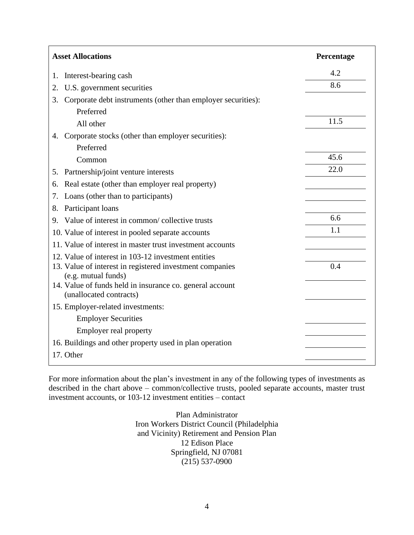| <b>Asset Allocations</b>                                                        | Percentage |  |
|---------------------------------------------------------------------------------|------------|--|
| Interest-bearing cash<br>1.                                                     | 4.2        |  |
| U.S. government securities<br>2.                                                | 8.6        |  |
| Corporate debt instruments (other than employer securities):<br>3.              |            |  |
| Preferred                                                                       |            |  |
| All other                                                                       | 11.5       |  |
| Corporate stocks (other than employer securities):<br>4.                        |            |  |
| Preferred                                                                       |            |  |
| Common                                                                          | 45.6       |  |
| Partnership/joint venture interests<br>5.                                       | 22.0       |  |
| Real estate (other than employer real property)<br>6.                           |            |  |
| Loans (other than to participants)<br>7.                                        |            |  |
| Participant loans<br>8.                                                         |            |  |
| 9. Value of interest in common/collective trusts                                | 6.6        |  |
| 10. Value of interest in pooled separate accounts                               | 1.1        |  |
| 11. Value of interest in master trust investment accounts                       |            |  |
| 12. Value of interest in 103-12 investment entities                             |            |  |
| 13. Value of interest in registered investment companies                        | 0.4        |  |
| (e.g. mutual funds)<br>14. Value of funds held in insurance co. general account |            |  |
| (unallocated contracts)                                                         |            |  |
| 15. Employer-related investments:                                               |            |  |
| <b>Employer Securities</b>                                                      |            |  |
| Employer real property                                                          |            |  |
| 16. Buildings and other property used in plan operation                         |            |  |
| 17. Other                                                                       |            |  |
|                                                                                 |            |  |

For more information about the plan's investment in any of the following types of investments as described in the chart above – common/collective trusts, pooled separate accounts, master trust investment accounts, or 103-12 investment entities – contact

> Plan Administrator Iron Workers District Council (Philadelphia and Vicinity) Retirement and Pension Plan 12 Edison Place Springfield, NJ 07081 (215) 537-0900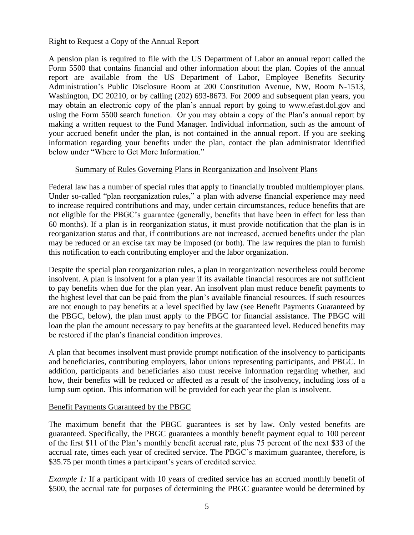## Right to Request a Copy of the Annual Report

A pension plan is required to file with the US Department of Labor an annual report called the Form 5500 that contains financial and other information about the plan. Copies of the annual report are available from the US Department of Labor, Employee Benefits Security Administration's Public Disclosure Room at 200 Constitution Avenue, NW, Room N-1513, Washington, DC 20210, or by calling (202) 693-8673. For 2009 and subsequent plan years, you may obtain an electronic copy of the plan's annual report by going to www.efast.dol.gov and using the Form 5500 search function. Or you may obtain a copy of the Plan's annual report by making a written request to the Fund Manager. Individual information, such as the amount of your accrued benefit under the plan, is not contained in the annual report. If you are seeking information regarding your benefits under the plan, contact the plan administrator identified below under "Where to Get More Information."

## Summary of Rules Governing Plans in Reorganization and Insolvent Plans

Federal law has a number of special rules that apply to financially troubled multiemployer plans. Under so-called "plan reorganization rules," a plan with adverse financial experience may need to increase required contributions and may, under certain circumstances, reduce benefits that are not eligible for the PBGC's guarantee (generally, benefits that have been in effect for less than 60 months). If a plan is in reorganization status, it must provide notification that the plan is in reorganization status and that, if contributions are not increased, accrued benefits under the plan may be reduced or an excise tax may be imposed (or both). The law requires the plan to furnish this notification to each contributing employer and the labor organization.

Despite the special plan reorganization rules, a plan in reorganization nevertheless could become insolvent. A plan is insolvent for a plan year if its available financial resources are not sufficient to pay benefits when due for the plan year. An insolvent plan must reduce benefit payments to the highest level that can be paid from the plan's available financial resources. If such resources are not enough to pay benefits at a level specified by law (see Benefit Payments Guaranteed by the PBGC, below), the plan must apply to the PBGC for financial assistance. The PBGC will loan the plan the amount necessary to pay benefits at the guaranteed level. Reduced benefits may be restored if the plan's financial condition improves.

A plan that becomes insolvent must provide prompt notification of the insolvency to participants and beneficiaries, contributing employers, labor unions representing participants, and PBGC. In addition, participants and beneficiaries also must receive information regarding whether, and how, their benefits will be reduced or affected as a result of the insolvency, including loss of a lump sum option. This information will be provided for each year the plan is insolvent.

## Benefit Payments Guaranteed by the PBGC

The maximum benefit that the PBGC guarantees is set by law. Only vested benefits are guaranteed. Specifically, the PBGC guarantees a monthly benefit payment equal to 100 percent of the first \$11 of the Plan's monthly benefit accrual rate, plus 75 percent of the next \$33 of the accrual rate, times each year of credited service. The PBGC's maximum guarantee, therefore, is \$35.75 per month times a participant's years of credited service.

*Example 1:* If a participant with 10 years of credited service has an accrued monthly benefit of \$500, the accrual rate for purposes of determining the PBGC guarantee would be determined by